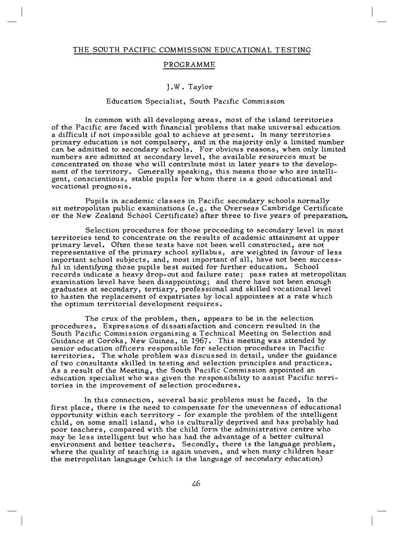# THE SOUTH PACIFIC COMMISSION EDUCATIONAL TESTING

#### PROGRAMME

### J.W. Taylor

#### Education Specialist, South Pacific Commission

In common with all developing areas, most of the island territories of the Pacific are faced with financial problems that make universal education a difficult if not impossible goal to achieve at present. In many territories primary education is not compulsory, and in the majority only a limited number can be admitted to secondary schools. For obvious reasons, when only limited numbers are admitted at secondary level, the available resources must be concentrated on those who will contribute most in later years to the development of the territory. Generally speaking, this means those who are intelligent, conscientious, stable pupils for whom there is a good educational and vocational prognosis.

Pupils in academic classes in Pacific secondary schools normally sit metropolitan public examinations (e.g. the Overseas Cambridge Certificate or the New Zealand School Certificate) after three to five years of preparation.

Selection procedures for those proceeding to secondary level in most territories tend to concentrate on the results of academic attainment at upper primary level. Often these tests have not been well constructed, are not representative of the primary school syllabus, are weighted in favour of less important school subjects, and, most important of all, have not been successful in identifying those pupils best suited for further education. School records indicate a heavy drop-out and failure rate; pass rates at metropolitan examination level have been disappointing; and there have not been enough graduates at secondary, tertiary, professional and skilled vocational level to hasten the replacement of expatriates by local appointees at a rate which the optimum territorial development requires.

The crux of the problem, then, appears to be in the selection procedures. Expressions of dissatisfaction and concern resulted in the South Pacific Commission organising a Technical Meeting on Selection and Guidance at Goroka, New Guinea, in 1967. This meeting was attended by senior education officers responsible for selection procedures in Pacific territories. The whole problem was discussed in detail, under the guidance of two consultants skilled in testing and selection principles and practices. As a result of the Meeting, the South Pacific Commission appointed an education specialist who was given the responsibility to assist Pacific territories in the improvement of selection procedures.

In this connection, several basic problems must be faced. In the first place, there is the need to compensate for the unevenness of educational opportunity within each territory - for example the problem of the intelligent child, on some small island, who is culturally deprived and has probably had poor teachers, compared with the child form the administrative centre who may be less intelligent but who has had the advantage of a better cultural environment and better teachers. Secondly, there is the language problem, where the quality of teaching is again uneven, and when many children hear the metropolitan language (which is the language of secondary education)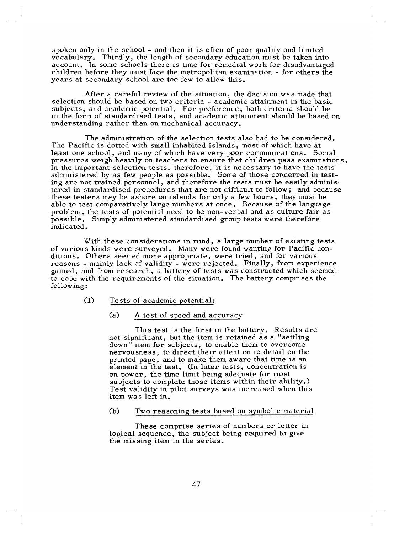spoken only in the school - and then it is often of poor quality and limited vocabulary. Thirdly, the length of secondary education must be taken into account. In some schools there is time for remedial work for disadvantaged children before they must face the metropolitan examination - for others the years at secondary school are too few to allow this.

After a careful review of the situation, the decision was made that selection should be based on two criteria - academic attainment in the basic subjects, and academic potential. For preference, both criteria should be in the form of standardised tests, and academic attainment should be based on understanding rather than on mechanical accuracy.

The administration of the selection tests also had to be considered. The Pacific is dotted with small inhabited islands, most of which have at least one school, and many of which have very poor communications. Social pressures weigh heavily on teachers to ensure that children pass examinations. In the important selection tests, therefore, it is necessary to have the tests administered by as few people as possible. Some of those concerned in testing are not trained personnel, and therefore the tests must be easily administered in standardised procedures that are not difficult to follow; and because these testers may be ashore on islands for only a few hours, they must be able to test comparatively large numbers at once. Because of the language problem, the tests of potential need to be non-verbal and as culture fair as possible. Simply administered standardised group tests were therefore indicated.

With these considerations in mind, a large number of existing tests of various kinds were surveyed. Many were found wanting for Pacific conditions. Others seemed more appropriate, were tried, and for various reasons - mainly lack of validity - were rejected. Finally, from experience gained, and from research, a battery of tests was constructed which seemed to cope with the requirements of the situation. The battery comprises the following :

### (1) Tests of academic potential:

# (a) A test of speed and accuracy

This test is the first in the battery. Results are not significant, but the item is retained as a "settling down" item for subjects, to enable them to overcome nervousness, to direct their attention to detail on the printed page, and to make them aware that time is an element in the test. (In later tests, concentration is on power, the time limit being adequate for most subjects to complete those items within their ability.) Test validity in pilot surveys was increased when this item was left in.

### (b) Two reasoning tests based on symbolic material

These comprise series of numbers or letter in logical sequence, the subject being required to give the missing item in the series.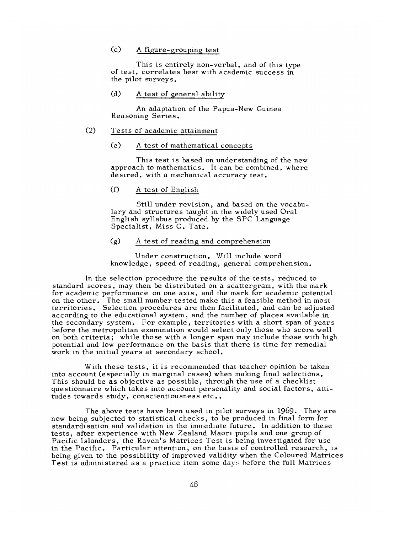# (c) A figure-grouping test

This is entirely non-verbal, and of this type of test, correlates best with academic success in the pilot surveys.

### (d) A test of general ability

An adaptation of the Papua-New Guinea Reasoning Series.

# (2) Tests of academic attainment

# (e) A test of mathematical concepts

This test is based on understanding of the new approach to mathematics. It can be combined, where desired, with a mechanical accuracy test.

# (f) A test of English

Still under revision, and based on the vocabulary and structures taught in the widely used Oral English syllabus produced by the SPC Language Specialist, Miss G. Tate.

# (g) A test of reading and comprehension

Under construction. Will include word knowledge, speed of reading, general comprehension.

In the selection procedure the results of the tests, reduced to standard scores, may then be distributed on a scattergram, with the mark for academic performance on one axis, and the mark for academic potential on the other. The small number tested make this a feasible method in most territories. Selection procedures are then facilitated, and can be adjusted according to the educational system, and the number of places available in the secondary system. For example, territories with a short span of years before the metropolitan examination would select only those who score well on both criteria; while those with a longer span may include those with high potential and low performance on the basis that there is time for remedial work in the initial years at secondary school.

With these tests, it is recommended that teacher opinion be taken into account (especially in marginal cases) when making final selections. This should be as objective as possible, through the use of a checklist questionnaire which takes into account personality and social factors, attitudes towards study, conscientiousness etc..

The above tests have been used in pilot surveys in 1969. They are now being subjected to statistical checks, to be produced in final form for standardisation and validation in the immediate future. In addition to these tests, after experience with New Zealand Maori pupils and one group of Pacific Islanders, the Raven's Matrices Test is being investigated for use in the Pacific. Particular attention, on the basis of controlled research, is being given to the possibility of improved validity when the Coloured Matrices Test is administered as a practice item some days before the full Matrices